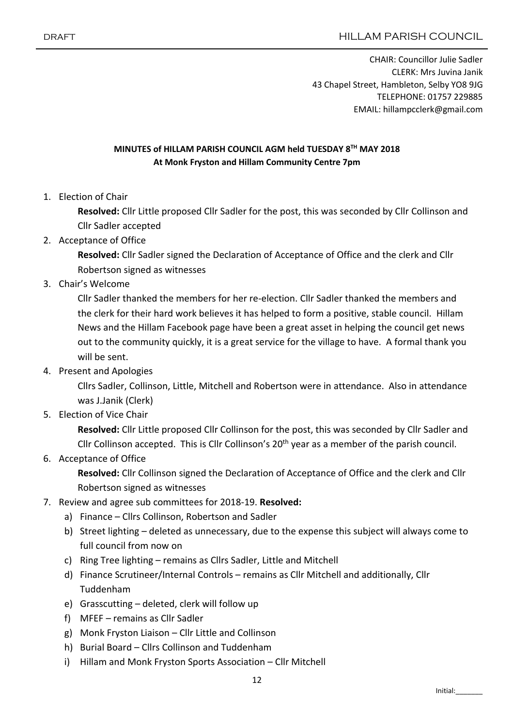CHAIR: Councillor Julie Sadler CLERK: Mrs Juvina Janik 43 Chapel Street, Hambleton, Selby YO8 9JG TELEPHONE: 01757 229885 EMAIL: hillampcclerk@gmail.com

## MINUTES of HILLAM PARISH COUNCIL AGM held TUESDAY 8TH MAY 2018 At Monk Fryston and Hillam Community Centre 7pm

1. Election of Chair

Resolved: Cllr Little proposed Cllr Sadler for the post, this was seconded by Cllr Collinson and Cllr Sadler accepted

2. Acceptance of Office

Resolved: Cllr Sadler signed the Declaration of Acceptance of Office and the clerk and Cllr Robertson signed as witnesses

3. Chair's Welcome

Cllr Sadler thanked the members for her re-election. Cllr Sadler thanked the members and the clerk for their hard work believes it has helped to form a positive, stable council. Hillam News and the Hillam Facebook page have been a great asset in helping the council get news out to the community quickly, it is a great service for the village to have. A formal thank you will be sent.

4. Present and Apologies

Cllrs Sadler, Collinson, Little, Mitchell and Robertson were in attendance. Also in attendance was J.Janik (Clerk)

5. Election of Vice Chair

Resolved: Cllr Little proposed Cllr Collinson for the post, this was seconded by Cllr Sadler and Cllr Collinson accepted. This is Cllr Collinson's 20<sup>th</sup> year as a member of the parish council.

6. Acceptance of Office

Resolved: Cllr Collinson signed the Declaration of Acceptance of Office and the clerk and Cllr Robertson signed as witnesses

- 7. Review and agree sub committees for 2018-19. Resolved:
	- a) Finance Cllrs Collinson, Robertson and Sadler
	- b) Street lighting deleted as unnecessary, due to the expense this subject will always come to full council from now on
	- c) Ring Tree lighting remains as Cllrs Sadler, Little and Mitchell
	- d) Finance Scrutineer/Internal Controls remains as Cllr Mitchell and additionally, Cllr Tuddenham
	- e) Grasscutting deleted, clerk will follow up
	- f) MFEF remains as Cllr Sadler
	- g) Monk Fryston Liaison Cllr Little and Collinson
	- h) Burial Board Cllrs Collinson and Tuddenham
	- i) Hillam and Monk Fryston Sports Association Cllr Mitchell